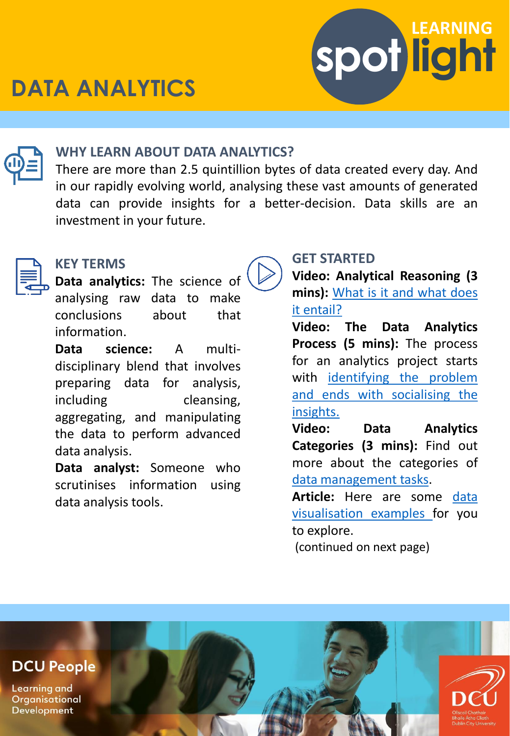





#### **WHY LEARN ABOUT DATA ANALYTICS?**

There are more than 2.5 quintillion bytes of data created every day. And in our rapidly evolving world, analysing these vast amounts of generated data can provide insights for a better-decision. Data skills are an investment in your future.



### **KEY TERMS**

**Data analytics:** The science of analysing raw data to make conclusions about that information.

**Data science:** A multidisciplinary blend that involves preparing data for analysis, including cleansing, aggregating, and manipulating the data to perform advanced data analysis.

**Data analyst:** Someone who scrutinises information using data analysis tools.

## **GET STARTED**

**Video: Analytical Reasoning (3 mins):** What is it and what does it [entail?](https://www.linkedin.com/learning/customer-insights-and-consumer-analytics-for-organizations-concepts/analytical-reasoning?autoplay=true&resume=false&u=2372722)

**Video: The Data Analytics Process (5 mins):** The process for an analytics project starts with identifying the problem and ends with [socialising](https://www.linkedin.com/learning/a-day-in-the-life-of-a-data-scientist/data-analytics-process?autoplay=true&resume=false&u=2372722) the insights.

**Video: Data Analytics Categories (3 mins):** Find out more about the categories of data [management](https://www.linkedin.com/learning/exam-tips-microsoft-azure-data-fundamentals-dp-900/data-analytics-categories?autoplay=true&resume=false&u=2372722) tasks.

**Article:** Here are some data [visualisation](https://blog.hubspot.com/marketing/great-data-visualization-examples) examples for you to explore.

(continued on next page)